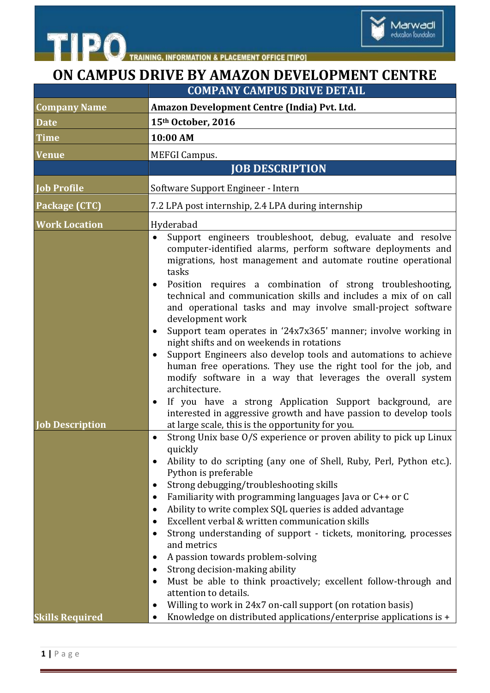



## **ON CAMPUS DRIVE BY AMAZON DEVELOPMENT CENTRE**

|                        | <b>COMPANY CAMPUS DRIVE DETAIL</b>                                                                                                                                                                                                                                                                                                                                                                                                                                                                                                                                                                                                                                                                                                                                                                                                                                                                                                                                    |
|------------------------|-----------------------------------------------------------------------------------------------------------------------------------------------------------------------------------------------------------------------------------------------------------------------------------------------------------------------------------------------------------------------------------------------------------------------------------------------------------------------------------------------------------------------------------------------------------------------------------------------------------------------------------------------------------------------------------------------------------------------------------------------------------------------------------------------------------------------------------------------------------------------------------------------------------------------------------------------------------------------|
| <b>Company Name</b>    | Amazon Development Centre (India) Pvt. Ltd.                                                                                                                                                                                                                                                                                                                                                                                                                                                                                                                                                                                                                                                                                                                                                                                                                                                                                                                           |
| <b>Date</b>            | 15th October, 2016                                                                                                                                                                                                                                                                                                                                                                                                                                                                                                                                                                                                                                                                                                                                                                                                                                                                                                                                                    |
| <b>Time</b>            | 10:00 AM                                                                                                                                                                                                                                                                                                                                                                                                                                                                                                                                                                                                                                                                                                                                                                                                                                                                                                                                                              |
| Venue                  | <b>MEFGI Campus.</b>                                                                                                                                                                                                                                                                                                                                                                                                                                                                                                                                                                                                                                                                                                                                                                                                                                                                                                                                                  |
|                        | <b>JOB DESCRIPTION</b>                                                                                                                                                                                                                                                                                                                                                                                                                                                                                                                                                                                                                                                                                                                                                                                                                                                                                                                                                |
| <b>Job Profile</b>     | Software Support Engineer - Intern                                                                                                                                                                                                                                                                                                                                                                                                                                                                                                                                                                                                                                                                                                                                                                                                                                                                                                                                    |
| Package (CTC)          | 7.2 LPA post internship, 2.4 LPA during internship                                                                                                                                                                                                                                                                                                                                                                                                                                                                                                                                                                                                                                                                                                                                                                                                                                                                                                                    |
| <b>Work Location</b>   | Hyderabad                                                                                                                                                                                                                                                                                                                                                                                                                                                                                                                                                                                                                                                                                                                                                                                                                                                                                                                                                             |
| <b>Job Description</b> | Support engineers troubleshoot, debug, evaluate and resolve<br>$\bullet$<br>computer-identified alarms, perform software deployments and<br>migrations, host management and automate routine operational<br>tasks<br>Position requires a combination of strong troubleshooting,<br>technical and communication skills and includes a mix of on call<br>and operational tasks and may involve small-project software<br>development work<br>Support team operates in '24x7x365' manner; involve working in<br>night shifts and on weekends in rotations<br>Support Engineers also develop tools and automations to achieve<br>human free operations. They use the right tool for the job, and<br>modify software in a way that leverages the overall system<br>architecture.<br>If you have a strong Application Support background, are<br>٠<br>interested in aggressive growth and have passion to develop tools<br>at large scale, this is the opportunity for you. |
| <b>Skills Required</b> | Strong Unix base O/S experience or proven ability to pick up Linux<br>quickly<br>Ability to do scripting (any one of Shell, Ruby, Perl, Python etc.).<br>Python is preferable<br>Strong debugging/troubleshooting skills<br>Familiarity with programming languages Java or C++ or C<br>٠<br>Ability to write complex SQL queries is added advantage<br>Excellent verbal & written communication skills<br>Strong understanding of support - tickets, monitoring, processes<br>and metrics<br>A passion towards problem-solving<br>Strong decision-making ability<br>Must be able to think proactively; excellent follow-through and<br>attention to details.<br>Willing to work in 24x7 on-call support (on rotation basis)<br>٠<br>Knowledge on distributed applications/enterprise applications is +                                                                                                                                                                |